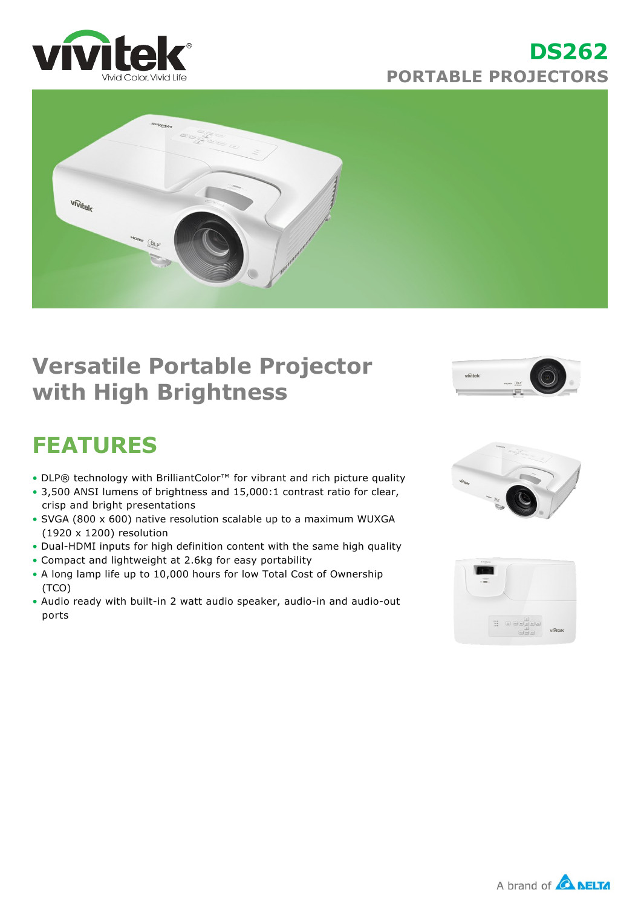

## **DS262 PORTABLE PROJECTORS**



## **Versatile Portable Projector with High Brightness**



# **FEATURES**

- DLP® technology with BrilliantColor™ for vibrant and rich picture quality
- 3,500 ANSI lumens of brightness and 15,000:1 contrast ratio for clear, crisp and bright presentations
- SVGA (800 x 600) native resolution scalable up to a maximum WUXGA (1920 x 1200) resolution
- Dual-HDMI inputs for high definition content with the same high quality
- Compact and lightweight at 2.6kg for easy portability
- A long lamp life up to 10,000 hours for low Total Cost of Ownership (TCO)
- Audio ready with built-in 2 watt audio speaker, audio-in and audio-out ports